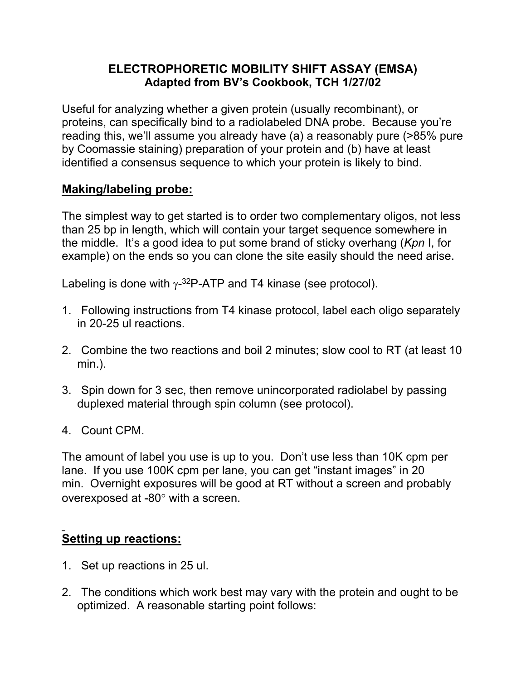### **ELECTROPHORETIC MOBILITY SHIFT ASSAY (EMSA) Adapted from BV's Cookbook, TCH 1/27/02**

Useful for analyzing whether a given protein (usually recombinant), or proteins, can specifically bind to a radiolabeled DNA probe. Because you're reading this, we'll assume you already have (a) a reasonably pure (>85% pure by Coomassie staining) preparation of your protein and (b) have at least identified a consensus sequence to which your protein is likely to bind.

#### **Making/labeling probe:**

The simplest way to get started is to order two complementary oligos, not less than 25 bp in length, which will contain your target sequence somewhere in the middle. It's a good idea to put some brand of sticky overhang (*Kpn* I, for example) on the ends so you can clone the site easily should the need arise.

Labeling is done with  $\gamma$ -3<sup>2</sup>P-ATP and T4 kinase (see protocol).

- 1. Following instructions from T4 kinase protocol, label each oligo separately in 20-25 ul reactions.
- 2. Combine the two reactions and boil 2 minutes; slow cool to RT (at least 10 min.).
- 3. Spin down for 3 sec, then remove unincorporated radiolabel by passing duplexed material through spin column (see protocol).
- 4. Count CPM.

The amount of label you use is up to you. Don't use less than 10K cpm per lane. If you use 100K cpm per lane, you can get "instant images" in 20 min. Overnight exposures will be good at RT without a screen and probably overexposed at  $-80^\circ$  with a screen.

## **Setting up reactions:**

- 1. Set up reactions in 25 ul.
- 2. The conditions which work best may vary with the protein and ought to be optimized. A reasonable starting point follows: